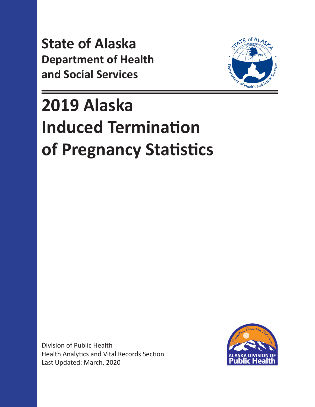**State of Alaska Department of Health and Social Services**



# **2019 Alaska Induced Termination of Pregnancy Statistics**

Division of Public Health Health Analytics and Vital Records Section Last Updated: March, 2020

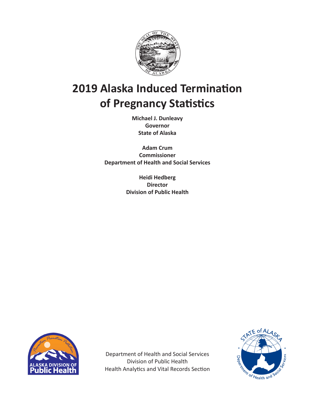

### **2019 Alaska Induced Termination of Pregnancy Statistics**

**Michael J. Dunleavy Governor State of Alaska**

**Adam Crum Commissioner Department of Health and Social Services**

> **Heidi Hedberg Director Division of Public Health**



Department of Health and Social Services Division of Public Health Health Analytics and Vital Records Section

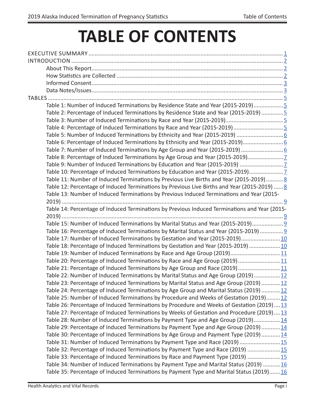# **TABLE OF CONTENTS**

| Table 1: Number of Induced Terminations by Residence State and Year (2015-2019)5              |
|-----------------------------------------------------------------------------------------------|
| Table 2: Percentage of Induced Terminations by Residence State and Year (2015-2019)  5        |
|                                                                                               |
| Table 4: Percentage of Induced Terminations by Race and Year (2015-2019)5                     |
|                                                                                               |
| Table 6: Percentage of Induced Terminations by Ethnicity and Year (2015-2019)                 |
|                                                                                               |
| Table 8: Percentage of Induced Terminations by Age Group and Year (2015-2019)                 |
|                                                                                               |
| Table 10: Percentage of Induced Terminations by Education and Year (2015-2019)                |
| Table 11: Number of Induced Terminations by Previous Live Births and Year (2015-2019) 8       |
| Table 12: Percentage of Induced Terminations by Previous Live Births and Year (2015-2019)  8  |
| Table 13: Number of Induced Terminations by Previous Induced Terminations and Year (2015-     |
|                                                                                               |
| Table 14: Percentage of Induced Terminations by Previous Induced Terminations and Year (2015- |
|                                                                                               |
| Table 15: Number of Induced Terminations by Marital Status and Year (2015-2019) 9             |
| Table 16: Percentage of Induced Terminations by Marital Status and Year (2015-2019)  9        |
| Table 17: Number of Induced Terminations by Gestation and Year (2015-2019) 10                 |
| Table 18: Percentage of Induced Terminations by Gestation and Year (2015-2019) 10             |
| Table 19: Number of Induced Terminations by Race and Age Group (2019) 11                      |
| Table 20: Percentage of Induced Terminations by Race and Age Group (2019)11                   |
| Table 21: Percentage of Induced Terminations by Age Group and Race (2019) 11                  |
| Table 22: Number of Induced Terminations by Marital Status and Age Group (2019)12             |
| Table 23: Percentage of Induced Terminations by Marital Status and Age Group (2019) 12        |
| Table 24: Percentage of Induced Terminations by Age Group and Marital Status (2019) 12        |
| Table 25: Number of Induced Terminations by Procedure and Weeks of Gestation (2019)12         |
| Table 26: Percentage of Induced Terminations by Procedure and Weeks of Gestation (2019)13     |
| Table 27: Percentage of Induced Terminations by Weeks of Gestation and Procedure (2019)13     |
| Table 28: Number of Induced Terminations by Payment Type and Age Group (2019)14               |
| Table 29: Percentage of Induced Terminations by Payment Type and Age Group (2019) 14          |
| Table 30: Percentage of Induced Terminations by Age Group and Payment Type (2019)14           |
| Table 31: Number of Induced Terminations by Payment Type and Race (2019)  15                  |
| Table 32: Percentage of Induced Terminations by Payment Type and Race (2019)  15              |
| Table 33: Percentage of Induced Terminations by Race and Payment Type (2019) 15               |
| Table 34: Number of Induced Terminations by Payment Type and Marital Status (2019) 16         |
|                                                                                               |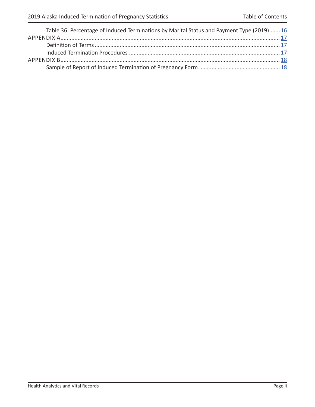$=$ 

| Table 36: Percentage of Induced Terminations by Marital Status and Payment Type (2019)16 |  |
|------------------------------------------------------------------------------------------|--|
|                                                                                          |  |
|                                                                                          |  |
|                                                                                          |  |
|                                                                                          |  |
|                                                                                          |  |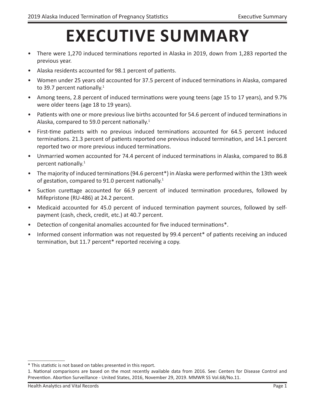# **EXECUTIVE SUMMARY**

- <span id="page-4-0"></span>• There were 1,270 induced terminations reported in Alaska in 2019, down from 1,283 reported the previous year.
- Alaska residents accounted for 98.1 percent of patients.
- Women under 25 years old accounted for 37.5 percent of induced terminations in Alaska, compared to 39.7 percent nationally.<sup>1</sup>
- Among teens, 2.8 percent of induced terminations were young teens (age 15 to 17 years), and 9.7% were older teens (age 18 to 19 years).
- Patients with one or more previous live births accounted for 54.6 percent of induced terminations in Alaska, compared to 59.0 percent nationally.<sup>1</sup>
- First-time patients with no previous induced terminations accounted for 64.5 percent induced terminations. 21.3 percent of patients reported one previous induced termination, and 14.1 percent reported two or more previous induced terminations.
- Unmarried women accounted for 74.4 percent of induced terminations in Alaska, compared to 86.8 percent nationally.1
- The majority of induced terminations (94.6 percent\*) in Alaska were performed within the 13th week of gestation, compared to 91.0 percent nationally.<sup>1</sup>
- Suction curettage accounted for 66.9 percent of induced termination procedures, followed by Mifepristone (RU-486) at 24.2 percent.
- Medicaid accounted for 45.0 percent of induced termination payment sources, followed by selfpayment (cash, check, credit, etc.) at 40.7 percent.
- Detection of congenital anomalies accounted for five induced terminations\*.
- Informed consent information was not requested by 99.4 percent\* of patients receiving an induced termination, but 11.7 percent\* reported receiving a copy.

<sup>\*</sup> This statistic is not based on tables presented in this report.

<sup>1.</sup> National comparisons are based on the most recently available data from 2016. See: Centers for Disease Control and Prevention. Abortion Surveillance - United States, 2016, November 29, 2019. MMWR SS Vol.68/No.11.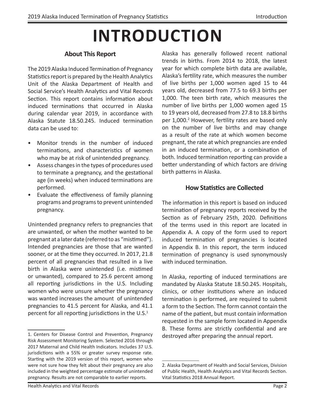# **INTRODUCTION**

#### **About This Report**

<span id="page-5-0"></span>The 2019 Alaska Induced Termination of Pregnancy Statistics report is prepared by the Health Analytics Unit of the Alaska Department of Health and Social Service's Health Analytics and Vital Records Section. This report contains information about induced terminations that occurred in Alaska during calendar year 2019, in accordance with Alaska Statute 18.50.245. Induced termination data can be used to:

- Monitor trends in the number of induced terminations, and characteristics of women who may be at risk of unintended pregnancy.
- Assess changes in the types of procedures used to terminate a pregnancy, and the gestational age (in weeks) when induced terminations are performed.
- Evaluate the effectiveness of family planning programs and programs to prevent unintended pregnancy.

Unintended pregnancy refers to pregnancies that are unwanted, or when the mother wanted to be pregnant at a later date (referred to as "mistimed"). Intended pregnancies are those that are wanted sooner, or at the time they occurred. In 2017, 21.8 percent of all pregnancies that resulted in a live birth in Alaska were unintended (i.e. mistimed or unwanted), compared to 25.6 percent among all reporting jurisdictions in the U.S. Including women who were unsure whether the pregnancy was wanted increases the amount of unintended pregnancies to 41.5 percent for Alaska, and 41.1 percent for all reporting jurisdictions in the  $U.S.^1$ 

Alaska has generally followed recent national trends in births. From 2014 to 2018, the latest year for which complete birth data are available, Alaska's fertility rate, which measures the number of live births per 1,000 women aged 15 to 44 years old, decreased from 77.5 to 69.3 births per 1,000. The teen birth rate, which measures the number of live births per 1,000 women aged 15 to 19 years old, decreased from 27.8 to 18.8 births per 1,000.<sup>2</sup> However, fertility rates are based only on the number of live births and may change as a result of the rate at which women become pregnant, the rate at which pregnancies are ended in an induced termination, or a combination of both. Induced termination reporting can provide a better understanding of which factors are driving birth patterns in Alaska.

#### **How Statistics are Collected**

The information in this report is based on induced termination of pregnancy reports received by the Section as of February 25th, 2020. Definitions of the terms used in this report are located in Appendix A. A copy of the form used to report induced termination of pregnancies is located in Appendix B. In this report, the term induced termination of pregnancy is used synonymously with induced termination.

In Alaska, reporting of induced terminations are mandated by Alaska Statute 18.50.245. Hospitals, clinics, or other institutions where an induced termination is performed, are required to submit a form to the Section. The form cannot contain the name of the patient, but must contain information requested in the sample form located in Appendix B. These forms are strictly confidential and are destroyed after preparing the annual report.

<sup>1.</sup> Centers for Disease Control and Prevention, Pregnancy Risk Assessment Monitoring System. Selected 2016 through 2017 Maternal and Child Health Indicators. Includes 37 U.S. jurisdictions with a 55% or greater survey response rate. Starting with the 2019 version of this report, women who were not sure how they felt about their pregnancy are also included in the weighted percentage estimate of unintended pregnancy. Results are not comparable to earlier reports.

<sup>2.</sup> Alaska Department of Health and Social Services, Division of Public Health, Health Analytics and Vital Records Section. Vital Statistics 2018 Annual Report.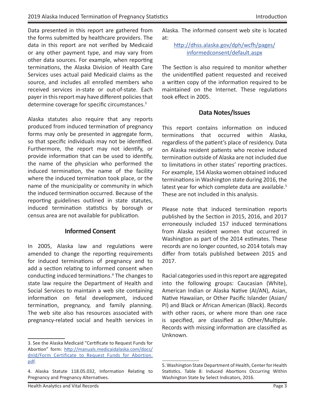<span id="page-6-0"></span>Data presented in this report are gathered from the forms submitted by healthcare providers. The data in this report are not verified by Medicaid or any other payment type, and may vary from other data sources. For example, when reporting terminations, the Alaska Division of Health Care Services uses actual paid Medicaid claims as the source, and includes all enrolled members who received services in-state or out-of-state. Each payer in this report may have different policies that determine coverage for specific circumstances.<sup>3</sup>

Alaska statutes also require that any reports produced from induced termination of pregnancy forms may only be presented in aggregate form, so that specific individuals may not be identified. Furthermore, the report may not identify, or provide information that can be used to identify, the name of the physician who performed the induced termination, the name of the facility where the induced termination took place, or the name of the municipality or community in which the induced termination occurred. Because of the reporting guidelines outlined in state statutes, induced termination statistics by borough or census area are not available for publication.

#### **Informed Consent**

In 2005, Alaska law and regulations were amended to change the reporting requirements for induced terminations of pregnancy and to add a section relating to informed consent when conducting induced terminations.4 The changes to state law require the Department of Health and Social Services to maintain a web site containing information on fetal development, induced termination, pregnancy, and family planning. The web site also has resources associated with pregnancy-related social and health services in

Alaska. The informed consent web site is located at:

[http://dhss.alaska.gov/dph/wcfh/pages/](http://dhss.alaska.gov/dph/wcfh/Pages/informedconsent/default.aspx) [informedconsent/default.aspx](http://dhss.alaska.gov/dph/wcfh/Pages/informedconsent/default.aspx)

The Section is also required to monitor whether the unidentified patient requested and received a written copy of the information required to be maintained on the Internet. These regulations took effect in 2005.

#### **Data Notes/Issues**

This report contains information on induced terminations that occurred within Alaska, regardless of the patient's place of residency. Data on Alaska resident patients who receive induced termination outside of Alaska are not included due to limitations in other states' reporting practices. For example, 154 Alaska women obtained induced terminations in Washington state during 2016, the latest year for which complete data are available.<sup>5</sup> These are not included in this analysis.

Please note that induced termination reports published by the Section in 2015, 2016, and 2017 erroneously included 157 induced terminations from Alaska resident women that occurred in Washington as part of the 2014 estimates. These records are no longer counted, so 2014 totals may differ from totals published between 2015 and 2017.

Racial categories used in this report are aggregated into the following groups: Caucasian (White), American Indian or Alaska Native (AI/AN), Asian, Native Hawaiian, or Other Pacific Islander (Asian/ PI) and Black or African American (Black). Records with other races, or where more than one race is specified, are classified as Other/Multiple. Records with missing information are classified as Unknown.

<sup>3.</sup> See the Alaska Medicaid "Certificate to Request Funds for Abortion" form: [http://manuals.medicaidalaska.com/docs/](http://manuals.medicaidalaska.com/docs/dnld/Form_Certificate_to_Request_Funds_for_Abortion.pdf) [dnld/Form\\_Certificate\\_to\\_Request\\_Funds\\_for\\_Abortion.](http://manuals.medicaidalaska.com/docs/dnld/Form_Certificate_to_Request_Funds_for_Abortion.pdf) [pdf](http://manuals.medicaidalaska.com/docs/dnld/Form_Certificate_to_Request_Funds_for_Abortion.pdf).

<sup>4.</sup> Alaska Statute 118.05.032, Information Relating to Pregnancy and Pregnancy Alternatives.

<sup>5.</sup> Washington State Department of Health, Center for Health Statistics. Table 8: Induced Abortions Occurring Within Washington State by Select Indicators, 2016.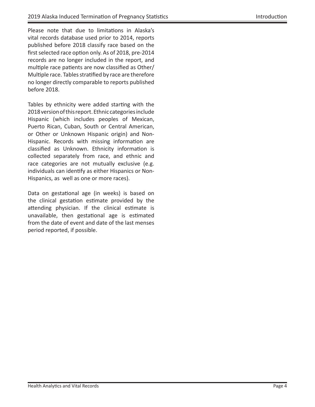Please note that due to limitations in Alaska's vital records database used prior to 2014, reports published before 2018 classify race based on the first selected race option only. As of 2018, pre-2014 records are no longer included in the report, and multiple race patients are now classified as Other/ Multiple race. Tables stratified by race are therefore no longer directly comparable to reports published before 2018.

Tables by ethnicity were added starting with the 2018 version of this report. Ethnic categories include Hispanic (which includes peoples of Mexican, Puerto Rican, Cuban, South or Central American, or Other or Unknown Hispanic origin) and Non-Hispanic. Records with missing information are classified as Unknown. Ethnicity information is collected separately from race, and ethnic and race categories are not mutually exclusive (e.g. individuals can identify as either Hispanics or Non-Hispanics, as well as one or more races).

Data on gestational age (in weeks) is based on the clinical gestation estimate provided by the attending physician. If the clinical estimate is unavailable, then gestational age is estimated from the date of event and date of the last menses period reported, if possible.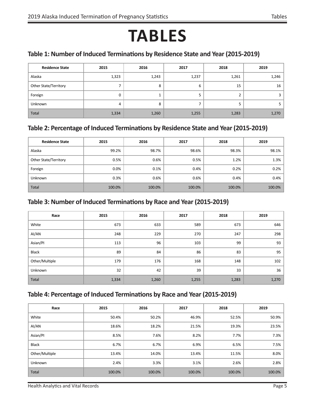## **TABLES**

#### <span id="page-8-0"></span>**Table 1: Number of Induced Terminations by Residence State and Year (2015-2019)**

| <b>Residence State</b> | 2015  | 2016  | 2017  | 2018  | 2019  |
|------------------------|-------|-------|-------|-------|-------|
| Alaska                 | 1,323 | 1,243 | 1,237 | 1,261 | 1,246 |
| Other State/Territory  |       | 8     | 6     | 15    | 16    |
| Foreign                |       |       | 5     |       |       |
| Unknown                | 4     | 8     | ⇁     |       |       |
| Total                  | 1,334 | 1,260 | 1,255 | 1,283 | 1,270 |

#### **Table 2: Percentage of Induced Terminations by Residence State and Year (2015-2019)**

| <b>Residence State</b> | 2015    | 2016   | 2017   | 2018   | 2019   |
|------------------------|---------|--------|--------|--------|--------|
| Alaska                 | 99.2%   | 98.7%  | 98.6%  | 98.3%  | 98.1%  |
| Other State/Territory  | 0.5%    | 0.6%   | 0.5%   | 1.2%   | 1.3%   |
| Foreign                | $0.0\%$ | 0.1%   | 0.4%   | 0.2%   | 0.2%   |
| <b>Unknown</b>         | 0.3%    | 0.6%   | 0.6%   | 0.4%   | 0.4%   |
| <b>Total</b>           | 100.0%  | 100.0% | 100.0% | 100.0% | 100.0% |

#### **Table 3: Number of Induced Terminations by Race and Year (2015-2019)**

| Race           | 2015  | 2016  | 2017  | 2018  | 2019  |
|----------------|-------|-------|-------|-------|-------|
| White          | 673   | 633   | 589   | 673   | 646   |
| AI/AN          | 248   | 229   | 270   | 247   | 298   |
| Asian/PI       | 113   | 96    | 103   | 99    | 93    |
| Black          | 89    | 84    | 86    | 83    | 95    |
| Other/Multiple | 179   | 176   | 168   | 148   | 102   |
| <b>Unknown</b> | 32    | 42    | 39    | 33    | 36    |
| Total          | 1,334 | 1,260 | 1,255 | 1,283 | 1,270 |

#### **Table 4: Percentage of Induced Terminations by Race and Year (2015-2019)**

| Race           | 2015   | 2016   | 2017   | 2018   | 2019   |
|----------------|--------|--------|--------|--------|--------|
| White          | 50.4%  | 50.2%  | 46.9%  | 52.5%  | 50.9%  |
| AI/AN          | 18.6%  | 18.2%  | 21.5%  | 19.3%  | 23.5%  |
| Asian/Pl       | 8.5%   | 7.6%   | 8.2%   | 7.7%   | 7.3%   |
| <b>Black</b>   | 6.7%   | 6.7%   | 6.9%   | 6.5%   | 7.5%   |
| Other/Multiple | 13.4%  | 14.0%  | 13.4%  | 11.5%  | 8.0%   |
| Unknown        | 2.4%   | 3.3%   | 3.1%   | 2.6%   | 2.8%   |
| Total          | 100.0% | 100.0% | 100.0% | 100.0% | 100.0% |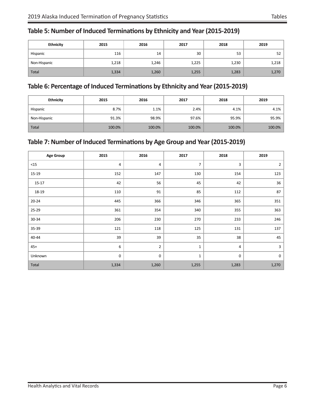<span id="page-9-0"></span>

| Table 5: Number of Induced Terminations by Ethnicity and Year (2015-2019) |  |  |  |
|---------------------------------------------------------------------------|--|--|--|
|---------------------------------------------------------------------------|--|--|--|

| <b>Ethnicity</b> | 2015  | 2016  | 2017  | 2018  | 2019  |
|------------------|-------|-------|-------|-------|-------|
| Hispanic         | 116   | 14    | 30    | 53    | 52    |
| Non-Hispanic     | 1,218 | 1,246 | 1,225 | 1,230 | 1,218 |
| Total            | 1,334 | 1,260 | 1,255 | 1,283 | 1,270 |

#### **Table 6: Percentage of Induced Terminations by Ethnicity and Year (2015-2019)**

| <b>Ethnicity</b> | 2015   | 2016   | 2017   | 2018   | 2019   |
|------------------|--------|--------|--------|--------|--------|
| Hispanic         | 8.7%   | 1.1%   | 2.4%   | 4.1%   | 4.1%   |
| Non-Hispanic     | 91.3%  | 98.9%  | 97.6%  | 95.9%  | 95.9%  |
| <b>Total</b>     | 100.0% | 100.0% | 100.0% | 100.0% | 100.0% |

#### **Table 7: Number of Induced Terminations by Age Group and Year (2015-2019)**

| <b>Age Group</b> | 2015             | 2016           | 2017           | 2018  | 2019           |
|------------------|------------------|----------------|----------------|-------|----------------|
| $<15$            | $\overline{4}$   | 4              | $\overline{7}$ | 3     | $\overline{2}$ |
| 15-19            | 152              | 147            | 130            | 154   | 123            |
| $15 - 17$        | 42               | 56             | 45             | 42    | 36             |
| 18-19            | 110              | 91             | 85             | 112   | 87             |
| $20 - 24$        | 445              | 366            | 346            | 365   | 351            |
| 25-29            | 361              | 354            | 340            | 355   | 363            |
| 30-34            | 206              | 230            | 270            | 233   | 246            |
| 35-39            | 121              | 118            | 125            | 131   | 137            |
| 40-44            | 39               | 39             | 35             | 38    | 45             |
| $45+$            | $\boldsymbol{6}$ | $\overline{2}$ | $\mathbf{1}$   | 4     | 3              |
| Unknown          | $\mathbf 0$      | 0              | $\mathbf{1}$   | 0     | $\mathbf 0$    |
| Total            | 1,334            | 1,260          | 1,255          | 1,283 | 1,270          |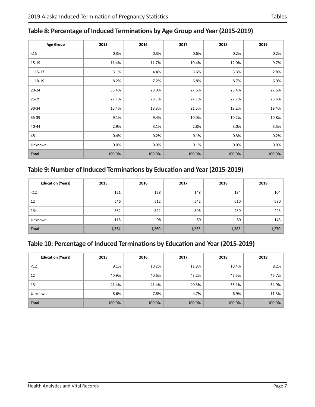#### <span id="page-10-0"></span>**Table 8: Percentage of Induced Terminations by Age Group and Year (2015-2019)**

| <b>Age Group</b> | 2015   | 2016   | 2017   | 2018   | 2019   |
|------------------|--------|--------|--------|--------|--------|
| $15$             | 0.3%   | 0.3%   | 0.6%   | 0.2%   | 0.2%   |
| 15-19            | 11.4%  | 11.7%  | 10.4%  | 12.0%  | 9.7%   |
| 15-17            | 3.1%   | 4.4%   | 3.6%   | 3.3%   | 2.8%   |
| 18-19            | 8.2%   | 7.2%   | 6.8%   | 8.7%   | 6.9%   |
| $20 - 24$        | 33.4%  | 29.0%  | 27.6%  | 28.4%  | 27.6%  |
| 25-29            | 27.1%  | 28.1%  | 27.1%  | 27.7%  | 28.6%  |
| 30-34            | 15.4%  | 18.3%  | 21.5%  | 18.2%  | 19.4%  |
| 35-39            | 9.1%   | 9.4%   | 10.0%  | 10.2%  | 10.8%  |
| 40-44            | 2.9%   | 3.1%   | 2.8%   | 3.0%   | 3.5%   |
| $45+$            | 0.4%   | 0.2%   | 0.1%   | 0.3%   | 0.2%   |
| Unknown          | 0.0%   | 0.0%   | 0.1%   | 0.0%   | 0.0%   |
| Total            | 100.0% | 100.0% | 100.0% | 100.0% | 100.0% |

#### **Table 9: Number of Induced Terminations by Education and Year (2015-2019)**

| <b>Education (Years)</b> | 2015  | 2016  | 2017  | 2018  | 2019  |
|--------------------------|-------|-------|-------|-------|-------|
| $<$ 12                   | 121   | 128   | 148   | 134   | 104   |
| 12                       | 546   | 512   | 542   | 610   | 580   |
| $13+$                    | 552   | 522   | 506   | 450   | 443   |
| Unknown                  | 115   | 98    | 59    | 89    | 143   |
| Total                    | 1,334 | 1,260 | 1,255 | 1,283 | 1,270 |

#### **Table 10: Percentage of Induced Terminations by Education and Year (2015-2019)**

| <b>Education (Years)</b><br>2015 |        | 2016   | 2017   | 2018   | 2019   |
|----------------------------------|--------|--------|--------|--------|--------|
| <12                              | 9.1%   | 10.2%  | 11.8%  | 10.4%  | 8.2%   |
| 12                               | 40.9%  | 40.6%  | 43.2%  | 47.5%  | 45.7%  |
| $13+$                            | 41.4%  | 41.4%  | 40.3%  | 35.1%  | 34.9%  |
| <b>Unknown</b>                   | 8.6%   | 7.8%   | 4.7%   | 6.9%   | 11.3%  |
| Total                            | 100.0% | 100.0% | 100.0% | 100.0% | 100.0% |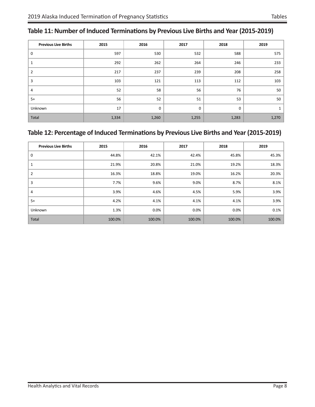<span id="page-11-0"></span>

| Table 11: Number of Induced Terminations by Previous Live Births and Year (2015-2019) |  |
|---------------------------------------------------------------------------------------|--|
|---------------------------------------------------------------------------------------|--|

| <b>Previous Live Births</b> | 2015  | 2016  | 2017  | 2018  | 2019  |
|-----------------------------|-------|-------|-------|-------|-------|
| 0                           | 597   | 530   | 532   | 588   | 575   |
| 1                           | 292   | 262   | 264   | 246   | 233   |
| $\overline{2}$              | 217   | 237   | 239   | 208   | 258   |
| 3                           | 103   | 121   | 113   | 112   | 103   |
| 4                           | 52    | 58    | 56    | 76    | 50    |
| $5+$                        | 56    | 52    | 51    | 53    | 50    |
| Unknown                     | 17    | 0     | 0     | 0     |       |
| Total                       | 1,334 | 1,260 | 1,255 | 1,283 | 1,270 |

#### **Table 12: Percentage of Induced Terminations by Previous Live Births and Year (2015-2019)**

| <b>Previous Live Births</b> | 2015   | 2016   | 2017   | 2018    | 2019   |
|-----------------------------|--------|--------|--------|---------|--------|
| 0                           | 44.8%  | 42.1%  | 42.4%  | 45.8%   | 45.3%  |
| 1                           | 21.9%  | 20.8%  | 21.0%  | 19.2%   | 18.3%  |
| $\overline{2}$              | 16.3%  | 18.8%  | 19.0%  | 16.2%   | 20.3%  |
| 3                           | 7.7%   | 9.6%   | 9.0%   | 8.7%    | 8.1%   |
| 4                           | 3.9%   | 4.6%   | 4.5%   | 5.9%    | 3.9%   |
| $5+$                        | 4.2%   | 4.1%   | 4.1%   | 4.1%    | 3.9%   |
| Unknown                     | 1.3%   | 0.0%   | 0.0%   | $0.0\%$ | 0.1%   |
| Total                       | 100.0% | 100.0% | 100.0% | 100.0%  | 100.0% |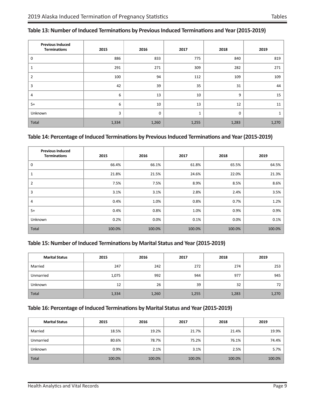| <b>Previous Induced</b><br><b>Terminations</b> | 2015  | 2016        | 2017  | 2018  | 2019  |
|------------------------------------------------|-------|-------------|-------|-------|-------|
| 0                                              | 886   | 833         | 775   | 840   | 819   |
|                                                | 291   | 271         | 309   | 282   | 271   |
| 2                                              | 100   | 94          | 112   | 109   | 109   |
| 3                                              | 42    | 39          | 35    | 31    | 44    |
| 4                                              | 6     | 13          | 10    | 9     | 15    |
| $5+$                                           | 6     | 10          | 13    | 12    | 11    |
| Unknown                                        | 3     | $\mathbf 0$ | 1     | 0     |       |
| Total                                          | 1,334 | 1,260       | 1,255 | 1,283 | 1,270 |

#### <span id="page-12-0"></span>**Table 13: Number of Induced Terminations by Previous Induced Terminations and Year (2015-2019)**

#### **Table 14: Percentage of Induced Terminations by Previous Induced Terminations and Year (2015-2019)**

| <b>Previous Induced</b><br><b>Terminations</b> | 2015   | 2016   | 2017   | 2018   | 2019   |
|------------------------------------------------|--------|--------|--------|--------|--------|
| 0                                              | 66.4%  | 66.1%  | 61.8%  | 65.5%  | 64.5%  |
| 1                                              | 21.8%  | 21.5%  | 24.6%  | 22.0%  | 21.3%  |
| 2                                              | 7.5%   | 7.5%   | 8.9%   | 8.5%   | 8.6%   |
| 3                                              | 3.1%   | 3.1%   | 2.8%   | 2.4%   | 3.5%   |
| 4                                              | 0.4%   | 1.0%   | 0.8%   | 0.7%   | 1.2%   |
| $5+$                                           | 0.4%   | 0.8%   | 1.0%   | 0.9%   | 0.9%   |
| Unknown                                        | 0.2%   | 0.0%   | 0.1%   | 0.0%   | 0.1%   |
| Total                                          | 100.0% | 100.0% | 100.0% | 100.0% | 100.0% |

#### **Table 15: Number of Induced Terminations by Marital Status and Year (2015-2019)**

| <b>Marital Status</b><br>2015 |       | 2016  | 2017  | 2018  | 2019  |
|-------------------------------|-------|-------|-------|-------|-------|
| Married                       | 247   | 242   | 272   | 274   | 253   |
| Unmarried                     | 1,075 | 992   | 944   | 977   | 945   |
| <b>Unknown</b>                | 12    | 26    | 39    | 32    | 72    |
| Total                         | 1,334 | 1,260 | 1,255 | 1,283 | 1,270 |

#### **Table 16: Percentage of Induced Terminations by Marital Status and Year (2015-2019)**

| <b>Marital Status</b><br>2015 |        | 2016   | 2017   | 2018   | 2019   |
|-------------------------------|--------|--------|--------|--------|--------|
| Married                       | 18.5%  | 19.2%  | 21.7%  | 21.4%  | 19.9%  |
| Unmarried                     | 80.6%  | 78.7%  | 75.2%  | 76.1%  | 74.4%  |
| <b>Unknown</b>                | 0.9%   | 2.1%   | 3.1%   | 2.5%   | 5.7%   |
| <b>Total</b>                  | 100.0% | 100.0% | 100.0% | 100.0% | 100.0% |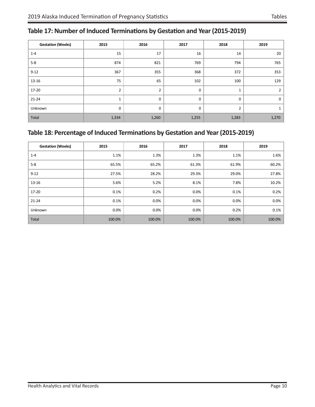#### <span id="page-13-0"></span>**Table 17: Number of Induced Terminations by Gestation and Year (2015-2019)**

| <b>Gestation (Weeks)</b> | 2015         |                | 2017        | 2018           | 2019  |  |
|--------------------------|--------------|----------------|-------------|----------------|-------|--|
| $1 - 4$                  | 15           | 17             | 16          | 14             | 20    |  |
| $5-8$                    | 874          | 821            | 769         | 794            | 765   |  |
| $9 - 12$                 | 367          | 355            | 368         | 372            | 353   |  |
| 13-16                    | 75           | 65             | 102         | 100            | 129   |  |
| 17-20                    | 2            | $\overline{2}$ | $\mathbf 0$ | 1              | 2     |  |
| $21 - 24$                | $\mathbf{1}$ | 0              | 0           | $\mathbf 0$    | 0     |  |
| Unknown                  | $\mathbf 0$  | 0              | 0           | $\overline{2}$ |       |  |
| Total                    | 1,334        | 1,260          | 1,255       | 1,283          | 1,270 |  |

#### **Table 18: Percentage of Induced Terminations by Gestation and Year (2015-2019)**

| <b>Gestation (Weeks)</b> | 2015   | 2016   | 2017    | 2018   | 2019   |
|--------------------------|--------|--------|---------|--------|--------|
| $1 - 4$                  | 1.1%   | 1.3%   | 1.3%    | 1.1%   | 1.6%   |
| $5-8$                    | 65.5%  | 65.2%  | 61.3%   | 61.9%  | 60.2%  |
| $9 - 12$                 | 27.5%  | 28.2%  | 29.3%   | 29.0%  | 27.8%  |
| 13-16                    | 5.6%   | 5.2%   | 8.1%    | 7.8%   | 10.2%  |
| 17-20                    | 0.1%   | 0.2%   | $0.0\%$ | 0.1%   | 0.2%   |
| 21-24                    | 0.1%   | 0.0%   | $0.0\%$ | 0.0%   | 0.0%   |
| Unknown                  | 0.0%   | 0.0%   | $0.0\%$ | 0.2%   | 0.1%   |
| Total                    | 100.0% | 100.0% | 100.0%  | 100.0% | 100.0% |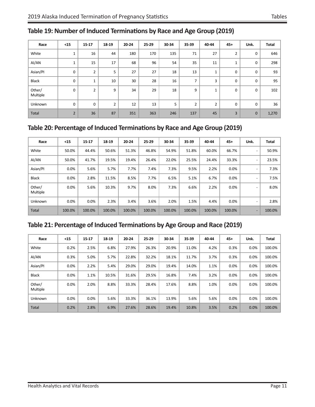| Race               | < 15           | $15 - 17$      | 18-19          | 20-24 | 25-29 | 30-34 | 35-39                    | 40-44          | $45+$          | Unk.        | <b>Total</b> |
|--------------------|----------------|----------------|----------------|-------|-------|-------|--------------------------|----------------|----------------|-------------|--------------|
| White              | 1              | 16             | 44             | 180   | 170   | 135   | 71                       | 27             | $\overline{2}$ | 0           | 646          |
| Al/AN              | $\mathbf{1}$   | 15             | 17             | 68    | 96    | 54    | 35                       | 11             | $\mathbf{1}$   | 0           | 298          |
| Asian/PI           | 0              | $\overline{2}$ | 5              | 27    | 27    | 18    | 13                       | 1              | 0              | 0           | 93           |
| <b>Black</b>       | $\mathbf 0$    | $\mathbf{1}$   | 10             | 30    | 28    | 16    | $\overline{\phantom{a}}$ | 3              | 0              | $\mathbf 0$ | 95           |
| Other/<br>Multiple | $\mathbf 0$    | $\overline{2}$ | 9              | 34    | 29    | 18    | 9                        | $\mathbf{1}$   | 0              | 0           | 102          |
| <b>Unknown</b>     | $\mathbf 0$    | $\mathbf 0$    | $\overline{2}$ | 12    | 13    | 5     | $\overline{2}$           | $\overline{2}$ | 0              | $\mathbf 0$ | 36           |
| Total              | $\overline{2}$ | 36             | 87             | 351   | 363   | 246   | 137                      | 45             | 3              | $\mathbf 0$ | 1,270        |

#### <span id="page-14-0"></span>**Table 19: Number of Induced Terminations by Race and Age Group (2019)**

#### **Table 20: Percentage of Induced Terminations by Race and Age Group (2019)**

| Race               | $15$   | $15 - 17$ | 18-19  | 20-24  | 25-29  | 30-34  | 35-39  | 40-44  | $45+$  | Unk.                     | <b>Total</b> |
|--------------------|--------|-----------|--------|--------|--------|--------|--------|--------|--------|--------------------------|--------------|
| White              | 50.0%  | 44.4%     | 50.6%  | 51.3%  | 46.8%  | 54.9%  | 51.8%  | 60.0%  | 66.7%  | $\overline{\phantom{a}}$ | 50.9%        |
| AI/AN              | 50.0%  | 41.7%     | 19.5%  | 19.4%  | 26.4%  | 22.0%  | 25.5%  | 24.4%  | 33.3%  | $\overline{\phantom{a}}$ | 23.5%        |
| Asian/Pl           | 0.0%   | 5.6%      | 5.7%   | 7.7%   | 7.4%   | 7.3%   | 9.5%   | 2.2%   | 0.0%   | $\overline{\phantom{a}}$ | 7.3%         |
| <b>Black</b>       | 0.0%   | 2.8%      | 11.5%  | 8.5%   | 7.7%   | 6.5%   | 5.1%   | 6.7%   | 0.0%   | $\overline{\phantom{a}}$ | 7.5%         |
| Other/<br>Multiple | 0.0%   | 5.6%      | 10.3%  | 9.7%   | 8.0%   | 7.3%   | 6.6%   | 2.2%   | 0.0%   | $\overline{\phantom{0}}$ | 8.0%         |
| Unknown            | 0.0%   | 0.0%      | 2.3%   | 3.4%   | 3.6%   | 2.0%   | 1.5%   | 4.4%   | 0.0%   | $\overline{\phantom{a}}$ | 2.8%         |
| <b>Total</b>       | 100.0% | 100.0%    | 100.0% | 100.0% | 100.0% | 100.0% | 100.0% | 100.0% | 100.0% | $\overline{\phantom{a}}$ | 100.0%       |

#### **Table 21: Percentage of Induced Terminations by Age Group and Race (2019)**

| Race               | $15$ | $15 - 17$ | 18-19 | 20-24 | 25-29 | 30-34 | 35-39 | 40-44 | $45+$ | Unk. | <b>Total</b> |
|--------------------|------|-----------|-------|-------|-------|-------|-------|-------|-------|------|--------------|
| White              | 0.2% | 2.5%      | 6.8%  | 27.9% | 26.3% | 20.9% | 11.0% | 4.2%  | 0.3%  | 0.0% | 100.0%       |
| AI/AN              | 0.3% | 5.0%      | 5.7%  | 22.8% | 32.2% | 18.1% | 11.7% | 3.7%  | 0.3%  | 0.0% | 100.0%       |
| Asian/Pl           | 0.0% | 2.2%      | 5.4%  | 29.0% | 29.0% | 19.4% | 14.0% | 1.1%  | 0.0%  | 0.0% | 100.0%       |
| <b>Black</b>       | 0.0% | 1.1%      | 10.5% | 31.6% | 29.5% | 16.8% | 7.4%  | 3.2%  | 0.0%  | 0.0% | 100.0%       |
| Other/<br>Multiple | 0.0% | 2.0%      | 8.8%  | 33.3% | 28.4% | 17.6% | 8.8%  | 1.0%  | 0.0%  | 0.0% | 100.0%       |
| <b>Unknown</b>     | 0.0% | $0.0\%$   | 5.6%  | 33.3% | 36.1% | 13.9% | 5.6%  | 5.6%  | 0.0%  | 0.0% | 100.0%       |
| Total              | 0.2% | 2.8%      | 6.9%  | 27.6% | 28.6% | 19.4% | 10.8% | 3.5%  | 0.2%  | 0.0% | 100.0%       |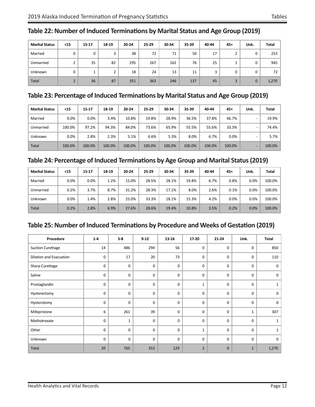| <b>Marital Status</b> | $15$ | $15 - 17$ | 18-19 | $20 - 24$ | 25-29 | 30-34 | 35-39 | 40-44 | $45+$ | Unk. | <b>Total</b> |
|-----------------------|------|-----------|-------|-----------|-------|-------|-------|-------|-------|------|--------------|
| Married               | 0    | 0         | 3     | 38        | 72    | 71    | 50    | 17    |       | 0    | 253          |
| Unmarried             |      | 35        | 82    | 295       | 267   | 162   | 76    | 25    |       | 0    | 945          |
| <b>Unknown</b>        | 0    |           | h     | 18        | 24    | 13    | 11    | 3     | 0     | 0    | 72           |
| Total                 |      | 36        | 87    | 351       | 363   | 246   | 137   | 45    | 3     | 0    | 1,270        |

#### <span id="page-15-0"></span>**Table 22: Number of Induced Terminations by Marital Status and Age Group (2019)**

#### **Table 23: Percentage of Induced Terminations by Marital Status and Age Group (2019)**

| <b>Marital Status</b> | $15$   | $15 - 17$ | 18-19  | 20-24  | 25-29  | 30-34  | 35-39  | 40-44  | $45+$  | Unk. | Total   |
|-----------------------|--------|-----------|--------|--------|--------|--------|--------|--------|--------|------|---------|
| Married               | 0.0%   | 0.0%      | 3.4%   | 10.8%  | 19.8%  | 28.9%  | 36.5%  | 37.8%  | 66.7%  |      | 19.9%   |
| Unmarried             | 100.0% | 97.2%     | 94.3%  | 84.0%  | 73.6%  | 65.9%  | 55.5%  | 55.6%  | 33.3%  |      | 74.4%   |
| <b>Unknown</b>        | 0.0%   | 2.8%      | 2.3%   | 5.1%   | 6.6%   | 5.3%   | 8.0%   | 6.7%   | 0.0%   |      | $5.7\%$ |
| <b>Total</b>          | 100.0% | 100.0%    | 100.0% | 100.0% | 100.0% | 100.0% | 100.0% | 100.0% | 100.0% |      | 100.0%  |

#### **Table 24: Percentage of Induced Terminations by Age Group and Marital Status (2019)**

| <b>Marital Status</b> | $15$ | $15 - 17$ | 18-19 | 20-24 | 25-29 | 30-34 | 35-39 | 40-44 | $45+$ | Unk. | <b>Total</b> |
|-----------------------|------|-----------|-------|-------|-------|-------|-------|-------|-------|------|--------------|
| Married               | 0.0% | 0.0%      | 1.2%  | 15.0% | 28.5% | 28.1% | 19.8% | 6.7%  | 0.8%  | 0.0% | 100.0%       |
| Unmarried             | 0.2% | 3.7%      | 8.7%  | 31.2% | 28.3% | 17.1% | 8.0%  | 2.6%  | 0.1%  | 0.0% | 100.0%       |
| <b>Unknown</b>        | 0.0% | 1.4%      | 2.8%  | 25.0% | 33.3% | 18.1% | 15.3% | 4.2%  | 0.0%  | 0.0% | 100.0%       |
| <b>Total</b>          | 0.2% | 2.8%      | 6.9%  | 27.6% | 28.6% | 19.4% | 10.8% | 3.5%  | 0.2%  | 0.0% | 100.0%       |

#### **Table 25: Number of Induced Terminations by Procedure and Weeks of Gestation (2019)**

| Procedure                | $1 - 4$ | $5-8$        | $9 - 12$ | 13-16 | 17-20          | $21 - 24$    | Unk.         | Total    |
|--------------------------|---------|--------------|----------|-------|----------------|--------------|--------------|----------|
| <b>Suction Curettage</b> | 14      | 486          | 294      | 56    | 0              | 0            | $\mathbf 0$  | 850      |
| Dilation and Evacuation  | 0       | 17           | 20       | 73    | $\mathbf 0$    | 0            | 0            | 110      |
| Sharp Curettage          | 0       | 0            | 0        | 0     | $\mathbf 0$    | $\Omega$     | $\mathbf 0$  | 0        |
| Saline                   | 0       | 0            | 0        | 0     | 0              | 0            | $\mathbf 0$  | 0        |
| Prostaglandin            | 0       | 0            | 0        | 0     | $\mathbf{1}$   | 0            | $\mathbf 0$  | 1        |
| Hysterectomy             | 0       | $\mathbf 0$  | 0        | 0     | 0              | 0            | $\mathbf 0$  | 0        |
| Hysterotomy              | 0       | $\mathbf 0$  | 0        | 0     | 0              | 0            | $\mathbf 0$  | 0        |
| Mifepristone             | 6       | 261          | 39       | 0     | $\mathbf 0$    | 0            | $\mathbf 1$  | 307      |
| Methotrexate             | 0       | $\mathbf{1}$ | 0        | 0     | $\mathbf 0$    | $\Omega$     | $\mathbf 0$  |          |
| Other                    | 0       | $\mathbf 0$  | 0        | 0     | $\mathbf{1}$   | 0            | $\mathbf 0$  | 1        |
| Unknown                  | 0       | 0            | 0        | 0     | $\mathbf 0$    | 0            | $\mathbf 0$  | $\Omega$ |
| Total                    | 20      | 765          | 353      | 129   | $\overline{2}$ | $\mathbf{0}$ | $\mathbf{1}$ | 1,270    |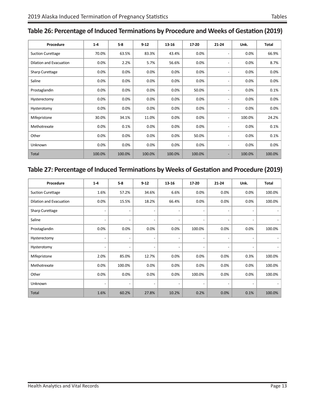| Procedure                | $1 - 4$ | $5-8$   | $9 - 12$ | 13-16  | 17-20  | $21 - 24$                    | Unk.    | <b>Total</b> |
|--------------------------|---------|---------|----------|--------|--------|------------------------------|---------|--------------|
| <b>Suction Curettage</b> | 70.0%   | 63.5%   | 83.3%    | 43.4%  | 0.0%   |                              | 0.0%    | 66.9%        |
| Dilation and Evacuation  | 0.0%    | 2.2%    | 5.7%     | 56.6%  | 0.0%   |                              | 0.0%    | 8.7%         |
| Sharp Curettage          | 0.0%    | 0.0%    | 0.0%     | 0.0%   | 0.0%   |                              | 0.0%    | 0.0%         |
| Saline                   | 0.0%    | 0.0%    | 0.0%     | 0.0%   | 0.0%   |                              | 0.0%    | 0.0%         |
| Prostaglandin            | 0.0%    | 0.0%    | 0.0%     | 0.0%   | 50.0%  |                              | 0.0%    | 0.1%         |
| Hysterectomy             | 0.0%    | 0.0%    | 0.0%     | 0.0%   | 0.0%   |                              | 0.0%    | $0.0\%$      |
| Hysterotomy              | $0.0\%$ | $0.0\%$ | 0.0%     | 0.0%   | 0.0%   |                              | $0.0\%$ | $0.0\%$      |
| Mifepristone             | 30.0%   | 34.1%   | 11.0%    | 0.0%   | 0.0%   | $\qquad \qquad \blacksquare$ | 100.0%  | 24.2%        |
| Methotrexate             | 0.0%    | 0.1%    | 0.0%     | 0.0%   | 0.0%   |                              | 0.0%    | 0.1%         |
| Other                    | 0.0%    | 0.0%    | 0.0%     | 0.0%   | 50.0%  |                              | 0.0%    | 0.1%         |
| Unknown                  | 0.0%    | $0.0\%$ | 0.0%     | 0.0%   | 0.0%   | $\overline{\phantom{0}}$     | 0.0%    | $0.0\%$      |
| Total                    | 100.0%  | 100.0%  | 100.0%   | 100.0% | 100.0% | -                            | 100.0%  | 100.0%       |

#### <span id="page-16-0"></span>**Table 26: Percentage of Induced Terminations by Procedure and Weeks of Gestation (2019)**

#### **Table 27: Percentage of Induced Terminations by Weeks of Gestation and Procedure (2019)**

| Procedure                | $1 - 4$                  | $5-8$                    | $9 - 12$                 | 13-16                    | 17-20                    | $21 - 24$                | Unk.                     | Total  |
|--------------------------|--------------------------|--------------------------|--------------------------|--------------------------|--------------------------|--------------------------|--------------------------|--------|
| <b>Suction Curettage</b> | 1.6%                     | 57.2%                    | 34.6%                    | 6.6%                     | 0.0%                     | 0.0%                     | 0.0%                     | 100.0% |
| Dilation and Evacuation  | 0.0%                     | 15.5%                    | 18.2%                    | 66.4%                    | 0.0%                     | 0.0%                     | 0.0%                     | 100.0% |
| Sharp Curettage          | $\overline{\phantom{0}}$ | $\overline{\phantom{a}}$ | $\overline{\phantom{a}}$ | $\overline{\phantom{a}}$ | $\overline{\phantom{0}}$ | $\overline{\phantom{a}}$ | $\overline{\phantom{a}}$ |        |
| Saline                   | $\overline{\phantom{0}}$ | $\overline{\phantom{a}}$ | $\overline{\phantom{a}}$ | $\overline{\phantom{a}}$ | $\overline{a}$           | $\overline{\phantom{a}}$ | $\overline{\phantom{a}}$ |        |
| Prostaglandin            | 0.0%                     | 0.0%                     | 0.0%                     | 0.0%                     | 100.0%                   | 0.0%                     | 0.0%                     | 100.0% |
| Hysterectomy             | -                        | $\overline{\phantom{a}}$ | $\overline{\phantom{a}}$ |                          |                          | $\overline{\phantom{a}}$ |                          |        |
| Hysterotomy              | $\overline{\phantom{0}}$ | $\overline{a}$           | $\overline{\phantom{a}}$ | $\overline{\phantom{a}}$ | $\overline{a}$           | $\overline{\phantom{a}}$ | $\overline{\phantom{a}}$ |        |
| Mifepristone             | 2.0%                     | 85.0%                    | 12.7%                    | 0.0%                     | 0.0%                     | 0.0%                     | 0.3%                     | 100.0% |
| Methotrexate             | 0.0%                     | 100.0%                   | 0.0%                     | 0.0%                     | 0.0%                     | 0.0%                     | 0.0%                     | 100.0% |
| Other                    | 0.0%                     | 0.0%                     | 0.0%                     | 0.0%                     | 100.0%                   | 0.0%                     | 0.0%                     | 100.0% |
| Unknown                  | $\overline{\phantom{a}}$ | $\overline{\phantom{a}}$ | $\overline{\phantom{a}}$ | $\overline{\phantom{a}}$ | $\overline{\phantom{0}}$ | $\overline{\phantom{a}}$ | $\overline{\phantom{a}}$ |        |
| <b>Total</b>             | 1.6%                     | 60.2%                    | 27.8%                    | 10.2%                    | 0.2%                     | 0.0%                     | 0.1%                     | 100.0% |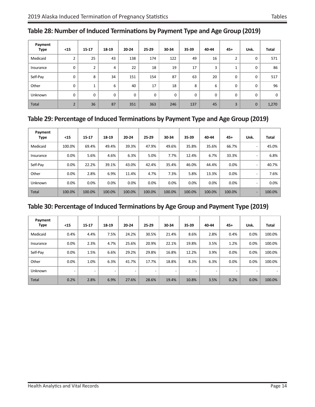| Payment<br><b>Type</b> | $15$           | $15 - 17$      | 18-19          | $20 - 24$ | 25-29 | 30-34 | 35-39 | 40-44       | $45+$        | Unk.        | <b>Total</b> |
|------------------------|----------------|----------------|----------------|-----------|-------|-------|-------|-------------|--------------|-------------|--------------|
| Medicaid               | $\overline{2}$ | 25             | 43             | 138       | 174   | 122   | 49    | 16          | 2            | 0           | 571          |
| Insurance              | $\mathbf 0$    | $\overline{2}$ | $\overline{4}$ | 22        | 18    | 19    | 17    | 3           | $\mathbf{1}$ | $\mathbf 0$ | 86           |
| Self-Pay               | $\mathbf 0$    | 8              | 34             | 151       | 154   | 87    | 63    | 20          | 0            | 0           | 517          |
| Other                  | $\mathbf 0$    | $\mathbf{1}$   | 6              | 40        | 17    | 18    | 8     | 6           | 0            | $\mathbf 0$ | 96           |
| Unknown                | $\mathbf 0$    | 0              | 0              | 0         | 0     | 0     | 0     | $\mathbf 0$ | 0            | $\mathbf 0$ | 0            |
| <b>Total</b>           | $\overline{2}$ | 36             | 87             | 351       | 363   | 246   | 137   | 45          | 3            | $\mathbf 0$ | 1,270        |

#### <span id="page-17-0"></span>**Table 28: Number of Induced Terminations by Payment Type and Age Group (2019)**

#### **Table 29: Percentage of Induced Terminations by Payment Type and Age Group (2019)**

| Payment<br><b>Type</b> | $15$    | 15-17  | 18-19  | 20-24  | $25-29$ | 30-34  | 35-39  | 40-44  | $45+$  | Unk.                     | <b>Total</b> |
|------------------------|---------|--------|--------|--------|---------|--------|--------|--------|--------|--------------------------|--------------|
| Medicaid               | 100.0%  | 69.4%  | 49.4%  | 39.3%  | 47.9%   | 49.6%  | 35.8%  | 35.6%  | 66.7%  | $\overline{\phantom{0}}$ | 45.0%        |
| Insurance              | $0.0\%$ | 5.6%   | 4.6%   | 6.3%   | 5.0%    | 7.7%   | 12.4%  | 6.7%   | 33.3%  | $\overline{\phantom{0}}$ | 6.8%         |
| Self-Pay               | 0.0%    | 22.2%  | 39.1%  | 43.0%  | 42.4%   | 35.4%  | 46.0%  | 44.4%  | 0.0%   | $\overline{\phantom{0}}$ | 40.7%        |
| Other                  | $0.0\%$ | 2.8%   | 6.9%   | 11.4%  | 4.7%    | 7.3%   | 5.8%   | 13.3%  | 0.0%   | $\overline{\phantom{0}}$ | 7.6%         |
| Unknown                | $0.0\%$ | 0.0%   | 0.0%   | 0.0%   | 0.0%    | 0.0%   | 0.0%   | 0.0%   | 0.0%   |                          | $0.0\%$      |
| <b>Total</b>           | 100.0%  | 100.0% | 100.0% | 100.0% | 100.0%  | 100.0% | 100.0% | 100.0% | 100.0% | $\overline{\phantom{0}}$ | 100.0%       |

#### **Table 30: Percentage of Induced Terminations by Age Group and Payment Type (2019)**

| Payment<br><b>Type</b> | $<$ 15  | $15 - 17$ | 18-19 | 20-24                    | 25-29                    | 30-34                    | 35-39                    | 40-44 | $45+$ | Unk. | <b>Total</b> |
|------------------------|---------|-----------|-------|--------------------------|--------------------------|--------------------------|--------------------------|-------|-------|------|--------------|
| Medicaid               | 0.4%    | 4.4%      | 7.5%  | 24.2%                    | 30.5%                    | 21.4%                    | 8.6%                     | 2.8%  | 0.4%  | 0.0% | 100.0%       |
| Insurance              | 0.0%    | 2.3%      | 4.7%  | 25.6%                    | 20.9%                    | 22.1%                    | 19.8%                    | 3.5%  | 1.2%  | 0.0% | 100.0%       |
| Self-Pay               | 0.0%    | 1.5%      | 6.6%  | 29.2%                    | 29.8%                    | 16.8%                    | 12.2%                    | 3.9%  | 0.0%  | 0.0% | 100.0%       |
| Other                  | $0.0\%$ | 1.0%      | 6.3%  | 41.7%                    | 17.7%                    | 18.8%                    | 8.3%                     | 6.3%  | 0.0%  | 0.0% | 100.0%       |
| Unknown                |         |           |       | $\overline{\phantom{0}}$ | $\overline{\phantom{0}}$ | $\overline{\phantom{0}}$ | $\overline{\phantom{0}}$ |       |       |      |              |
| <b>Total</b>           | 0.2%    | 2.8%      | 6.9%  | 27.6%                    | 28.6%                    | 19.4%                    | 10.8%                    | 3.5%  | 0.2%  | 0.0% | 100.0%       |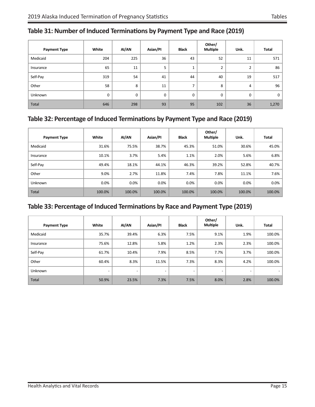| <b>Payment Type</b> | White | AI/AN       | Asian/PI | <b>Black</b>   | Other/<br><b>Multiple</b> | Unk. | <b>Total</b> |
|---------------------|-------|-------------|----------|----------------|---------------------------|------|--------------|
| Medicaid            | 204   | 225         | 36       | 43             | 52                        | 11   | 571          |
| Insurance           | 65    | 11          | 5        | $\mathbf{A}$   | 2                         | 2    | 86           |
| Self-Pay            | 319   | 54          | 41       | 44             | 40                        | 19   | 517          |
| Other               | 58    | 8           | 11       | $\overline{ }$ | 8                         | 4    | 96           |
| Unknown             | 0     | $\mathbf 0$ | 0        | 0              | 0                         | 0    | 0            |
| Total               | 646   | 298         | 93       | 95             | 102                       | 36   | 1,270        |

#### <span id="page-18-0"></span>**Table 31: Number of Induced Terminations by Payment Type and Race (2019)**

#### **Table 32: Percentage of Induced Terminations by Payment Type and Race (2019)**

| <b>Payment Type</b> | White  | AI/AN  | Asian/PI | <b>Black</b> | Other/<br><b>Multiple</b> | Unk.   | <b>Total</b> |
|---------------------|--------|--------|----------|--------------|---------------------------|--------|--------------|
| Medicaid            | 31.6%  | 75.5%  | 38.7%    | 45.3%        | 51.0%                     | 30.6%  | 45.0%        |
| Insurance           | 10.1%  | 3.7%   | 5.4%     | 1.1%         | 2.0%                      | 5.6%   | 6.8%         |
| Self-Pay            | 49.4%  | 18.1%  | 44.1%    | 46.3%        | 39.2%                     | 52.8%  | 40.7%        |
| Other               | 9.0%   | 2.7%   | 11.8%    | 7.4%         | 7.8%                      | 11.1%  | 7.6%         |
| Unknown             | 0.0%   | 0.0%   | 0.0%     | 0.0%         | 0.0%                      | 0.0%   | $0.0\%$      |
| Total               | 100.0% | 100.0% | 100.0%   | 100.0%       | 100.0%                    | 100.0% | 100.0%       |

#### **Table 33: Percentage of Induced Terminations by Race and Payment Type (2019)**

| <b>Payment Type</b> | White | AI/AN                    | Asian/PI                 | <b>Black</b>             | Other/<br><b>Multiple</b> | Unk. | <b>Total</b> |
|---------------------|-------|--------------------------|--------------------------|--------------------------|---------------------------|------|--------------|
| Medicaid            | 35.7% | 39.4%                    | 6.3%                     | 7.5%                     | 9.1%                      | 1.9% | 100.0%       |
| Insurance           | 75.6% | 12.8%                    | 5.8%                     | 1.2%                     | 2.3%                      | 2.3% | 100.0%       |
| Self-Pay            | 61.7% | 10.4%                    | 7.9%                     | 8.5%                     | 7.7%                      | 3.7% | 100.0%       |
| Other               | 60.4% | 8.3%                     | 11.5%                    | 7.3%                     | 8.3%                      | 4.2% | 100.0%       |
| <b>Unknown</b>      | -     | $\overline{\phantom{a}}$ | $\overline{\phantom{a}}$ | $\overline{\phantom{a}}$ | $\overline{\phantom{a}}$  | -    |              |
| Total               | 50.9% | 23.5%                    | 7.3%                     | 7.5%                     | 8.0%                      | 2.8% | 100.0%       |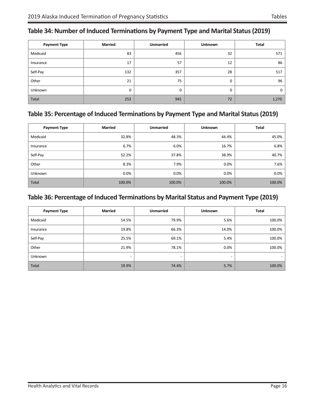| <b>Payment Type</b> | <b>Married</b> | <b>Unmarried</b> | Unknown | Total |
|---------------------|----------------|------------------|---------|-------|
| Medicaid            | 83             | 456              | 32      | 571   |
| Insurance           | 17             | 57               | 12      | 86    |
| Self-Pay            | 132            | 357              | 28      | 517   |
| Other               | 21             | 75               | 0       | 96    |
| Unknown             | 0              | 0                | 0       | 0     |
| Total               | 253            | 945              | 72      | 1,270 |

#### <span id="page-19-0"></span>**Table 34: Number of Induced Terminations by Payment Type and Marital Status (2019)**

#### **Table 35: Percentage of Induced Terminations by Payment Type and Marital Status (2019)**

| <b>Payment Type</b> | <b>Married</b> | <b>Unmarried</b> | <b>Unknown</b> | <b>Total</b> |
|---------------------|----------------|------------------|----------------|--------------|
| Medicaid            | 32.8%          | 48.3%            | 44.4%          | 45.0%        |
| Insurance           | 6.7%           | 6.0%             | 16.7%          | 6.8%         |
| Self-Pay            | 52.2%          | 37.8%            | 38.9%          | 40.7%        |
| Other               | 8.3%           | 7.9%             | 0.0%           | $7.6\%$      |
| Unknown             | 0.0%           | 0.0%             | 0.0%           | 0.0%         |
| Total               | 100.0%         | 100.0%           | 100.0%         | 100.0%       |

#### **Table 36: Percentage of Induced Terminations by Marital Status and Payment Type (2019)**

| <b>Payment Type</b> | <b>Married</b> | <b>Unmarried</b>         | <b>Unknown</b>           | Total                    |
|---------------------|----------------|--------------------------|--------------------------|--------------------------|
| Medicaid            | 14.5%          | 79.9%                    | 5.6%                     | 100.0%                   |
| Insurance           | 19.8%          | 66.3%                    | 14.0%                    | 100.0%                   |
| Self-Pay            | 25.5%          | 69.1%                    | 5.4%                     | 100.0%                   |
| Other               | 21.9%          | 78.1%                    | 0.0%                     | 100.0%                   |
| Unknown             |                | $\overline{\phantom{a}}$ | $\overline{\phantom{0}}$ | $\overline{\phantom{0}}$ |
| Total               | 19.9%          | 74.4%                    | 5.7%                     | 100.0%                   |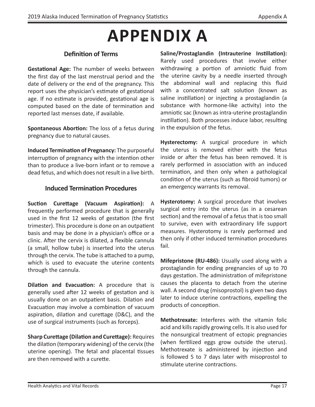## **APPENDIX A**

#### **Definition of Terms**

<span id="page-20-0"></span>**Gestational Age:** The number of weeks between the first day of the last menstrual period and the date of delivery or the end of the pregnancy. This report uses the physician's estimate of gestational age. If no estimate is provided, gestational age is computed based on the date of termination and reported last menses date, if available.

**Spontaneous Abortion:** The loss of a fetus during pregnancy due to natural causes.

**Induced Termination of Pregnancy:** The purposeful interruption of pregnancy with the intention other than to produce a live-born infant or to remove a dead fetus, and which does not result in a live birth.

#### **Induced Termination Procedures**

**Suction Curettage (Vacuum Aspiration):** A frequently performed procedure that is generally used in the first 12 weeks of gestation (the first trimester). This procedure is done on an outpatient basis and may be done in a physician's office or a clinic. After the cervix is dilated, a flexible cannula (a small, hollow tube) is inserted into the uterus through the cervix. The tube is attached to a pump, which is used to evacuate the uterine contents through the cannula.

**Dilation and Evacuation:** A procedure that is generally used after 12 weeks of gestation and is usually done on an outpatient basis. Dilation and Evacuation may involve a combination of vacuum aspiration, dilation and curettage (D&C), and the use of surgical instruments (such as forceps).

**Sharp Curettage (Dilation and Curettage):** Requires the dilation (temporary widening) of the cervix (the uterine opening). The fetal and placental tissues are then removed with a curette.

**Saline/Prostaglandin (Intrauterine Instillation):**  Rarely used procedures that involve either withdrawing a portion of amniotic fluid from the uterine cavity by a needle inserted through the abdominal wall and replacing this fluid with a concentrated salt solution (known as saline instillation) or injecting a prostaglandin (a substance with hormone-like activity) into the amniotic sac (known as intra-uterine prostaglandin instillation). Both processes induce labor, resulting in the expulsion of the fetus.

**Hysterectomy:** A surgical procedure in which the uterus is removed either with the fetus inside or after the fetus has been removed. It is rarely performed in association with an induced termination, and then only when a pathological condition of the uterus (such as fibroid tumors) or an emergency warrants its removal.

**Hysterotomy:** A surgical procedure that involves surgical entry into the uterus (as in a cesarean section) and the removal of a fetus that is too small to survive, even with extraordinary life support measures. Hysterotomy is rarely performed and then only if other induced termination procedures fail.

**Mifepristone (RU-486):** Usually used along with a prostaglandin for ending pregnancies of up to 70 days gestation. The administration of mifepristone causes the placenta to detach from the uterine wall. A second drug (misoprostol) is given two days later to induce uterine contractions, expelling the products of conception.

**Methotrexate:** Interferes with the vitamin folic acid and kills rapidly growing cells. It is also used for the nonsurgical treatment of ectopic pregnancies (when fertilized eggs grow outside the uterus). Methotrexate is administered by injection and is followed 5 to 7 days later with misoprostol to stimulate uterine contractions.